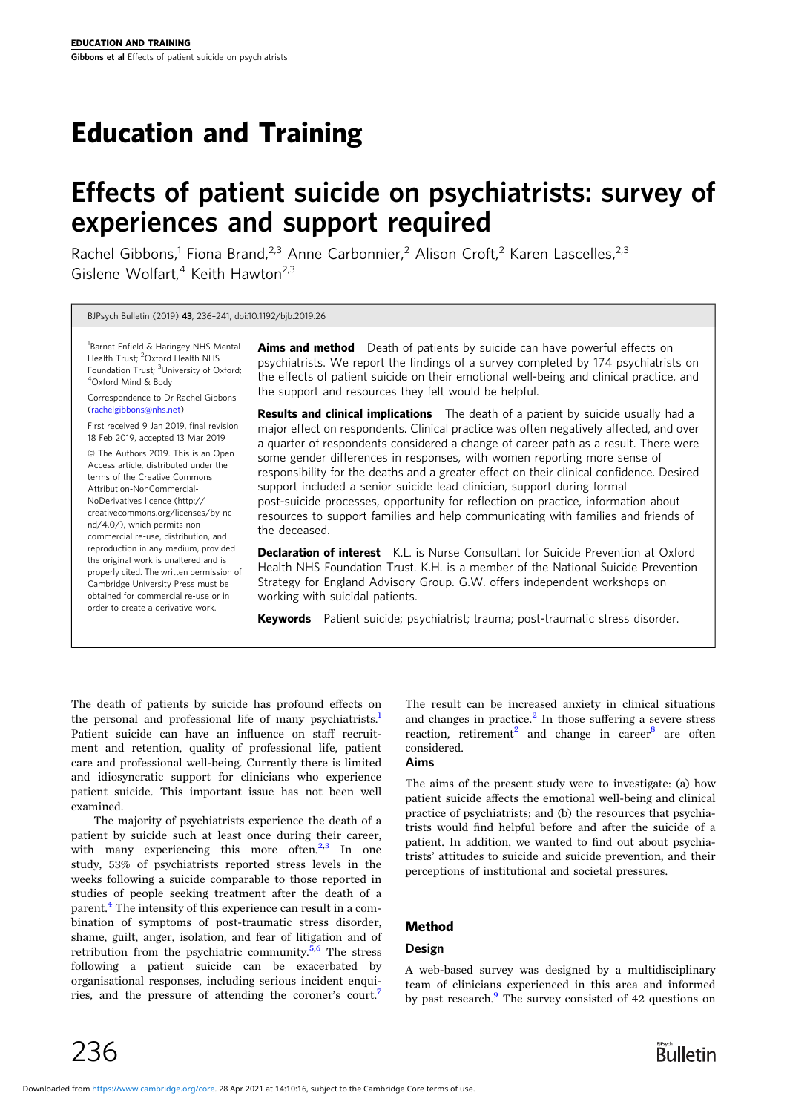# Education and Training

## Effects of patient suicide on psychiatrists: survey of experiences and support required

Rachel Gibbons,<sup>1</sup> Fiona Brand,<sup>2,3</sup> Anne Carbonnier,<sup>2</sup> Alison Croft,<sup>2</sup> Karen Lascelles,<sup>2,3</sup> Gislene Wolfart,<sup>4</sup> Keith Hawton<sup>2,3</sup>

BJPsych Bulletin (2019) 43, 236–241, doi:10.1192/bjb.2019.26

<sup>1</sup>Barnet Enfield & Haringey NHS Mental Health Trust; <sup>2</sup>Oxford Health NHS Foundation Trust; <sup>3</sup>University of Oxford; 4 Oxford Mind & Body

Correspondence to Dr Rachel Gibbons (rachelgibbons@nhs.net)

First received 9 Jan 2019, final revision 18 Feb 2019, accepted 13 Mar 2019 © The Authors 2019. This is an Open Access article, distributed under the terms of the Creative Commons Attribution-NonCommercial-NoDerivatives licence (http:// creativecommons.org/licenses/by-ncnd/4.0/), which permits noncommercial re-use, distribution, and reproduction in any medium, provided the original work is unaltered and is properly cited. The written permission of Cambridge University Press must be obtained for commercial re-use or in order to create a derivative work.

Aims and method Death of patients by suicide can have powerful effects on psychiatrists. We report the findings of a survey completed by 174 psychiatrists on the effects of patient suicide on their emotional well-being and clinical practice, and the support and resources they felt would be helpful.

**Results and clinical implications** The death of a patient by suicide usually had a major effect on respondents. Clinical practice was often negatively affected, and over a quarter of respondents considered a change of career path as a result. There were some gender differences in responses, with women reporting more sense of responsibility for the deaths and a greater effect on their clinical confidence. Desired support included a senior suicide lead clinician, support during formal post-suicide processes, opportunity for reflection on practice, information about resources to support families and help communicating with families and friends of the deceased.

**Declaration of interest** K.L. is Nurse Consultant for Suicide Prevention at Oxford Health NHS Foundation Trust. K.H. is a member of the National Suicide Prevention Strategy for England Advisory Group. G.W. offers independent workshops on working with suicidal patients.

Keywords Patient suicide; psychiatrist; trauma; post-traumatic stress disorder.

The death of patients by suicide has profound effects on the personal and professional life of many psychiatrists.<sup>1</sup> Patient suicide can have an influence on staff recruitment and retention, quality of professional life, patient care and professional well-being. Currently there is limited and idiosyncratic support for clinicians who experience patient suicide. This important issue has not been well examined.

The majority of psychiatrists experience the death of a patient by suicide such at least once during their career, with many experiencing this more often. $2,3$  In one study, 53% of psychiatrists reported stress levels in the weeks following a suicide comparable to those reported in studies of people seeking treatment after the death of a parent.4 The intensity of this experience can result in a combination of symptoms of post-traumatic stress disorder, shame, guilt, anger, isolation, and fear of litigation and of retribution from the psychiatric community. $5,6$  The stress following a patient suicide can be exacerbated by organisational responses, including serious incident enquiries, and the pressure of attending the coroner's court.7

The result can be increased anxiety in clinical situations and changes in practice. $^2$  In those suffering a severe stress reaction, retirement<sup>2</sup> and change in career<sup>8</sup> are often considered.

## Aims

The aims of the present study were to investigate: (a) how patient suicide affects the emotional well-being and clinical practice of psychiatrists; and (b) the resources that psychiatrists would find helpful before and after the suicide of a patient. In addition, we wanted to find out about psychiatrists' attitudes to suicide and suicide prevention, and their perceptions of institutional and societal pressures.

## Method

## Design

A web-based survey was designed by a multidisciplinary team of clinicians experienced in this area and informed by past research.<sup>9</sup> The survey consisted of 42 questions on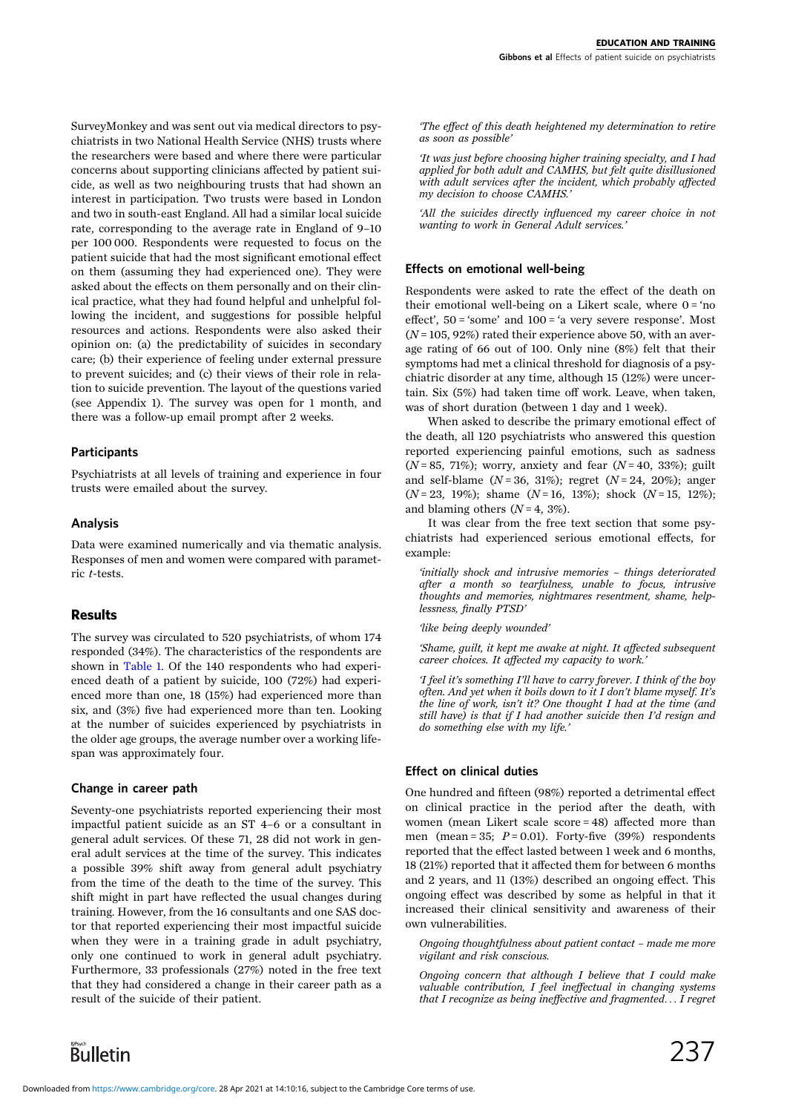SurveyMonkey and was sent out via medical directors to psychiatrists in two National Health Service (NHS) trusts where the researchers were based and where there were particular concerns about supporting clinicians affected by patient suicide, as well as two neighbouring trusts that had shown an interest in participation. Two trusts were based in London and two in south-east England. All had a similar local suicide rate, corresponding to the average rate in England of 9–10 per 100 000. Respondents were requested to focus on the patient suicide that had the most significant emotional effect on them (assuming they had experienced one). They were asked about the effects on them personally and on their clinical practice, what they had found helpful and unhelpful following the incident, and suggestions for possible helpful resources and actions. Respondents were also asked their opinion on: (a) the predictability of suicides in secondary care; (b) their experience of feeling under external pressure to prevent suicides; and (c) their views of their role in relation to suicide prevention. The layout of the questions varied (see Appendix 1). The survey was open for 1 month, and there was a follow-up email prompt after 2 weeks.

## **Participants**

Psychiatrists at all levels of training and experience in four trusts were emailed about the survey.

#### Analysis

Data were examined numerically and via thematic analysis. Responses of men and women were compared with parametric t-tests.

## Results

The survey was circulated to 520 psychiatrists, of whom 174 responded (34%). The characteristics of the respondents are shown in Table 1. Of the 140 respondents who had experienced death of a patient by suicide, 100 (72%) had experienced more than one, 18 (15%) had experienced more than six, and (3%) five had experienced more than ten. Looking at the number of suicides experienced by psychiatrists in the older age groups, the average number over a working lifespan was approximately four.

#### Change in career path

Seventy-one psychiatrists reported experiencing their most impactful patient suicide as an ST 4–6 or a consultant in general adult services. Of these 71, 28 did not work in general adult services at the time of the survey. This indicates a possible 39% shift away from general adult psychiatry from the time of the death to the time of the survey. This shift might in part have reflected the usual changes during training. However, from the 16 consultants and one SAS doctor that reported experiencing their most impactful suicide when they were in a training grade in adult psychiatry, only one continued to work in general adult psychiatry. Furthermore, 33 professionals (27%) noted in the free text that they had considered a change in their career path as a result of the suicide of their patient.

'The effect of this death heightened my determination to retire as soon as possible'

'It was just before choosing higher training specialty, and I had applied for both adult and CAMHS, but felt quite disillusioned with adult services after the incident, which probably affected my decision to choose CAMHS.'

'All the suicides directly influenced my career choice in not wanting to work in General Adult services.'

#### Effects on emotional well-being

Respondents were asked to rate the effect of the death on their emotional well-being on a Likert scale, where  $0 = 'no$ effect', 50 = 'some' and 100 = 'a very severe response'. Most  $(N = 105, 92%)$  rated their experience above 50, with an average rating of 66 out of 100. Only nine (8%) felt that their symptoms had met a clinical threshold for diagnosis of a psychiatric disorder at any time, although 15 (12%) were uncertain. Six (5%) had taken time off work. Leave, when taken, was of short duration (between 1 day and 1 week).

When asked to describe the primary emotional effect of the death, all 120 psychiatrists who answered this question reported experiencing painful emotions, such as sadness  $(N = 85, 71\%)$ ; worry, anxiety and fear  $(N = 40, 33\%)$ ; guilt and self-blame ( $N = 36$ , 31%); regret ( $N = 24$ , 20%); anger  $(N = 23, 19\%)$ ; shame  $(N = 16, 13\%)$ ; shock  $(N = 15, 12\%)$ ; and blaming others  $(N = 4, 3\%)$ .

It was clear from the free text section that some psychiatrists had experienced serious emotional effects, for example:

'initially shock and intrusive memories – things deteriorated after a month so tearfulness, unable to focus, intrusive thoughts and memories, nightmares resentment, shame, helplessness, finally PTSD'

'like being deeply wounded'

'Shame, guilt, it kept me awake at night. It affected subsequent career choices. It affected my capacity to work.'

'I feel it's something I'll have to carry forever. I think of the boy often. And yet when it boils down to it I don't blame myself. It's the line of work, isn't it? One thought I had at the time (and still have) is that if I had another suicide then I'd resign and do something else with my life.'

## Effect on clinical duties

One hundred and fifteen (98%) reported a detrimental effect on clinical practice in the period after the death, with women (mean Likert scale score = 48) affected more than men (mean = 35;  $P = 0.01$ ). Forty-five (39%) respondents reported that the effect lasted between 1 week and 6 months, 18 (21%) reported that it affected them for between 6 months and 2 years, and 11 (13%) described an ongoing effect. This ongoing effect was described by some as helpful in that it increased their clinical sensitivity and awareness of their own vulnerabilities.

Ongoing thoughtfulness about patient contact – made me more vigilant and risk conscious.

Ongoing concern that although I believe that I could make valuable contribution, I feel ineffectual in changing systems that I recognize as being ineffective and fragmented... I regret

Bulletin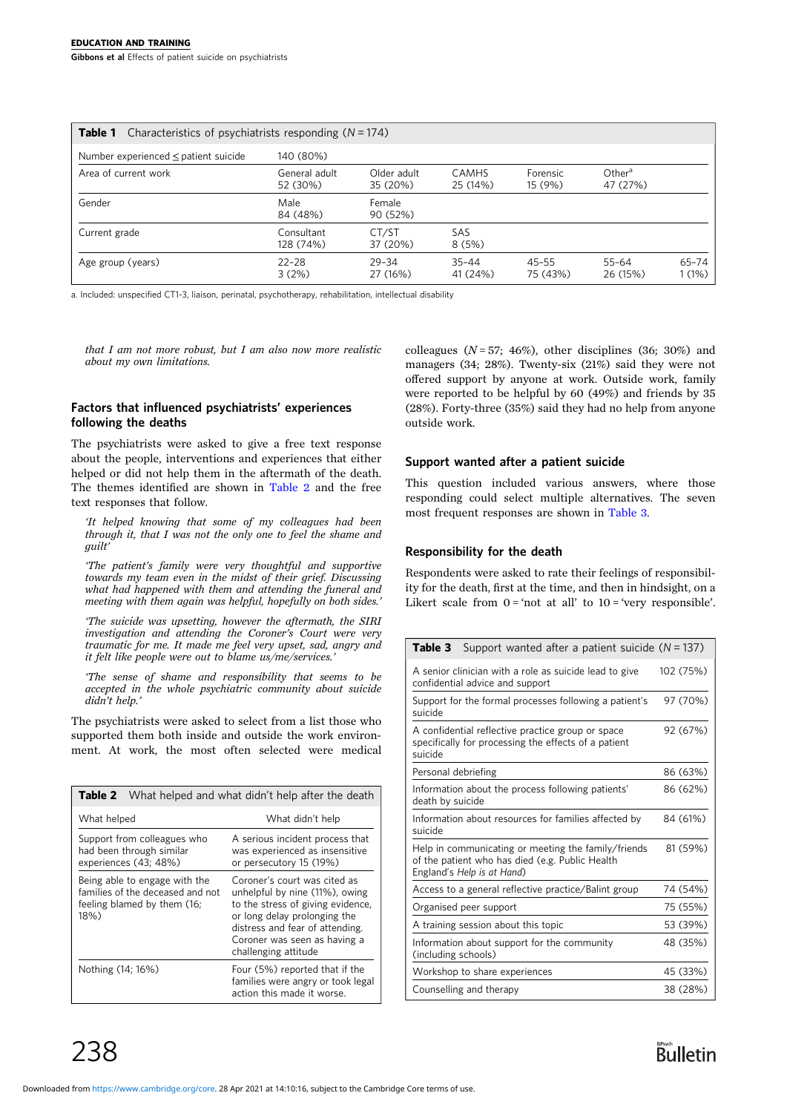| Characteristics of psychiatrists responding $(N = 174)$<br>Table 1 |                           |                         |                       |                     |                                |                   |  |
|--------------------------------------------------------------------|---------------------------|-------------------------|-----------------------|---------------------|--------------------------------|-------------------|--|
| Number experienced $\leq$ patient suicide                          | 140 (80%)                 |                         |                       |                     |                                |                   |  |
| Area of current work                                               | General adult<br>52 (30%) | Older adult<br>35 (20%) | CAMHS<br>25 (14%)     | Forensic<br>15 (9%) | Other <sup>a</sup><br>47 (27%) |                   |  |
| Gender                                                             | Male<br>84 (48%)          | Female<br>90 (52%)      |                       |                     |                                |                   |  |
| Current grade                                                      | Consultant<br>128 (74%)   | CT/ST<br>37 (20%)       | SAS<br>8(5%)          |                     |                                |                   |  |
| Age group (years)                                                  | $22 - 28$<br>3(2%)        | 29-34<br>27 (16%)       | $35 - 44$<br>41 (24%) | 45-55<br>75 (43%)   | 55-64<br>26 (15%)              | 65-74<br>$1(1\%)$ |  |

a. Included: unspecified CT1-3, liaison, perinatal, psychotherapy, rehabilitation, intellectual disability

that I am not more robust, but I am also now more realistic about my own limitations.

## Factors that influenced psychiatrists' experiences following the deaths

The psychiatrists were asked to give a free text response about the people, interventions and experiences that either helped or did not help them in the aftermath of the death. The themes identified are shown in Table 2 and the free text responses that follow.

'It helped knowing that some of my colleagues had been through it, that I was not the only one to feel the shame and guilt'

'The patient's family were very thoughtful and supportive towards my team even in the midst of their grief. Discussing what had happened with them and attending the funeral and meeting with them again was helpful, hopefully on both sides.'

'The suicide was upsetting, however the aftermath, the SIRI investigation and attending the Coroner's Court were very traumatic for me. It made me feel very upset, sad, angry and it felt like people were out to blame us/me/services.'

'The sense of shame and responsibility that seems to be accepted in the whole psychiatric community about suicide didn't help.'

The psychiatrists were asked to select from a list those who supported them both inside and outside the work environment. At work, the most often selected were medical

| What helped                                                                                             | What didn't help                                                                                                                                                                                                               |
|---------------------------------------------------------------------------------------------------------|--------------------------------------------------------------------------------------------------------------------------------------------------------------------------------------------------------------------------------|
| Support from colleagues who<br>had been through similar<br>experiences (43; 48%)                        | A serious incident process that<br>was experienced as insensitive<br>or persecutory 15 (19%)                                                                                                                                   |
| Being able to engage with the<br>families of the deceased and not<br>feeling blamed by them (16;<br>18% | Coroner's court was cited as<br>unhelpful by nine (11%), owing<br>to the stress of giving evidence,<br>or long delay prolonging the<br>distress and fear of attending.<br>Coroner was seen as having a<br>challenging attitude |
| Nothing (14; 16%)                                                                                       | Four (5%) reported that if the<br>families were angry or took legal<br>action this made it worse.                                                                                                                              |

colleagues ( $N = 57$ ; 46%), other disciplines (36; 30%) and managers (34; 28%). Twenty-six (21%) said they were not offered support by anyone at work. Outside work, family were reported to be helpful by 60 (49%) and friends by 35 (28%). Forty-three (35%) said they had no help from anyone outside work.

## Support wanted after a patient suicide

This question included various answers, where those responding could select multiple alternatives. The seven most frequent responses are shown in Table 3.

## Responsibility for the death

Respondents were asked to rate their feelings of responsibility for the death, first at the time, and then in hindsight, on a Likert scale from  $0 = \text{`not at all' to } 10 = \text{`very responsible'}.$ 

| Support wanted after a patient suicide $(N = 137)$<br>Table 3                                                                        |           |
|--------------------------------------------------------------------------------------------------------------------------------------|-----------|
| A senior clinician with a role as suicide lead to give<br>confidential advice and support                                            | 102 (75%) |
| Support for the formal processes following a patient's<br>suicide                                                                    | 97 (70%)  |
| A confidential reflective practice group or space<br>specifically for processing the effects of a patient<br>suicide                 | 92 (67%)  |
| Personal debriefing                                                                                                                  | 86 (63%)  |
| Information about the process following patients'<br>death by suicide                                                                | 86 (62%)  |
| Information about resources for families affected by<br>suicide                                                                      | 84 (61%)  |
| Help in communicating or meeting the family/friends<br>of the patient who has died (e.g. Public Health<br>England's Help is at Hand) | 81 (59%)  |
| Access to a general reflective practice/Balint group                                                                                 | 74 (54%)  |
| Organised peer support                                                                                                               | 75 (55%)  |
| A training session about this topic                                                                                                  | 53 (39%)  |
| Information about support for the community<br>(including schools)                                                                   | 48 (35%)  |
| Workshop to share experiences                                                                                                        | 45 (33%)  |
| Counselling and therapy                                                                                                              | 38 (28%)  |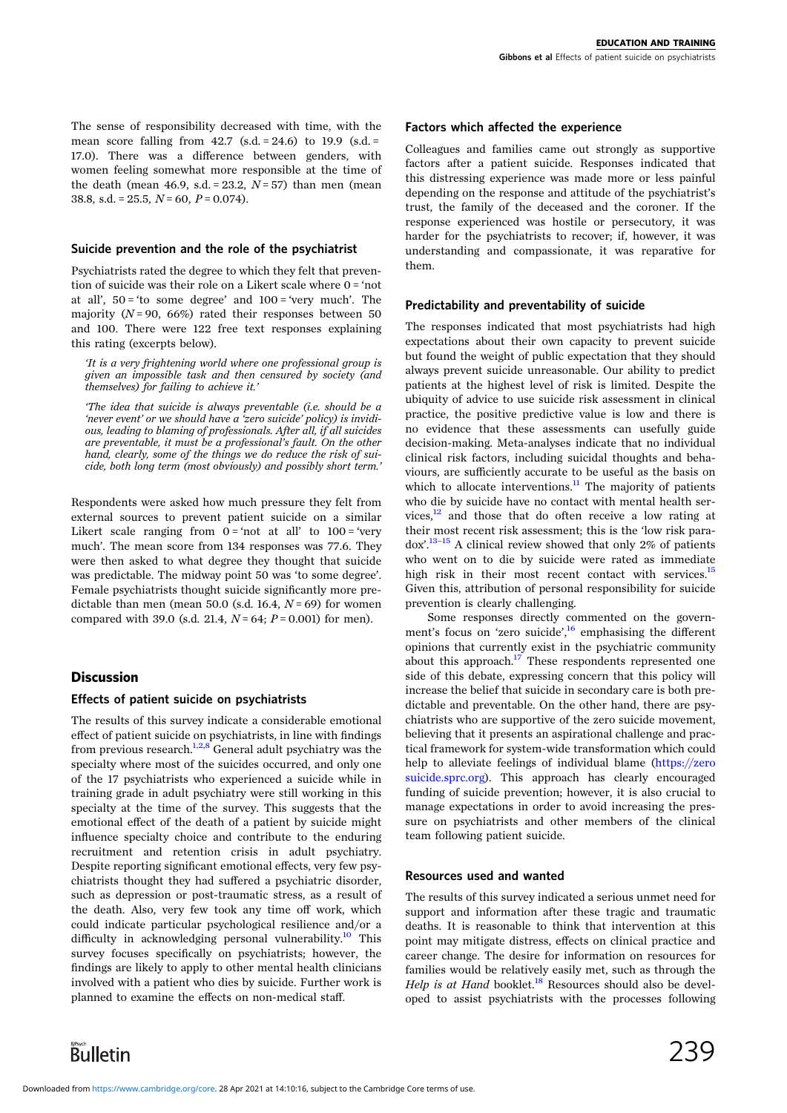The sense of responsibility decreased with time, with the mean score falling from  $42.7$  (s.d. = 24.6) to 19.9 (s.d. = 17.0). There was a difference between genders, with women feeling somewhat more responsible at the time of the death (mean 46.9, s.d. = 23.2,  $N = 57$ ) than men (mean 38.8, s.d. = 25.5,  $N = 60$ ,  $P = 0.074$ .

#### Suicide prevention and the role of the psychiatrist

Psychiatrists rated the degree to which they felt that prevention of suicide was their role on a Likert scale where 0 = 'not at all',  $50 = 'to$  some degree' and  $100 = 'very$  much'. The majority ( $N = 90, 66\%$ ) rated their responses between 50 and 100. There were 122 free text responses explaining this rating (excerpts below).

'It is a very frightening world where one professional group is given an impossible task and then censured by society (and themselves) for failing to achieve it.'

'The idea that suicide is always preventable (i.e. should be a 'never event' or we should have a 'zero suicide' policy) is invidious, leading to blaming of professionals. After all, if all suicides are preventable, it must be a professional's fault. On the other hand, clearly, some of the things we do reduce the risk of suicide, both long term (most obviously) and possibly short term.'

Respondents were asked how much pressure they felt from external sources to prevent patient suicide on a similar Likert scale ranging from  $0 = \text{`not}$  at all' to  $100 = \text{`very}$ much'. The mean score from 134 responses was 77.6. They were then asked to what degree they thought that suicide was predictable. The midway point 50 was 'to some degree'. Female psychiatrists thought suicide significantly more predictable than men (mean 50.0 (s.d. 16.4,  $N = 69$ ) for women compared with 39.0 (s.d. 21.4,  $N = 64$ ;  $P = 0.001$ ) for men).

## **Discussion**

## Effects of patient suicide on psychiatrists

The results of this survey indicate a considerable emotional effect of patient suicide on psychiatrists, in line with findings from previous research. $1,2,8$  General adult psychiatry was the specialty where most of the suicides occurred, and only one of the 17 psychiatrists who experienced a suicide while in training grade in adult psychiatry were still working in this specialty at the time of the survey. This suggests that the emotional effect of the death of a patient by suicide might influence specialty choice and contribute to the enduring recruitment and retention crisis in adult psychiatry. Despite reporting significant emotional effects, very few psychiatrists thought they had suffered a psychiatric disorder, such as depression or post-traumatic stress, as a result of the death. Also, very few took any time off work, which could indicate particular psychological resilience and/or a difficulty in acknowledging personal vulnerability.<sup>10</sup> This survey focuses specifically on psychiatrists; however, the findings are likely to apply to other mental health clinicians involved with a patient who dies by suicide. Further work is planned to examine the effects on non-medical staff.

## Factors which affected the experience

Colleagues and families came out strongly as supportive factors after a patient suicide. Responses indicated that this distressing experience was made more or less painful depending on the response and attitude of the psychiatrist's trust, the family of the deceased and the coroner. If the response experienced was hostile or persecutory, it was harder for the psychiatrists to recover; if, however, it was understanding and compassionate, it was reparative for them.

## Predictability and preventability of suicide

The responses indicated that most psychiatrists had high expectations about their own capacity to prevent suicide but found the weight of public expectation that they should always prevent suicide unreasonable. Our ability to predict patients at the highest level of risk is limited. Despite the ubiquity of advice to use suicide risk assessment in clinical practice, the positive predictive value is low and there is no evidence that these assessments can usefully guide decision-making. Meta-analyses indicate that no individual clinical risk factors, including suicidal thoughts and behaviours, are sufficiently accurate to be useful as the basis on which to allocate interventions. $\frac{11}{11}$  The majority of patients who die by suicide have no contact with mental health services.<sup>12</sup> and those that do often receive a low rating at their most recent risk assessment; this is the 'low risk paradox'. <sup>13</sup>–<sup>15</sup> A clinical review showed that only 2% of patients who went on to die by suicide were rated as immediate high risk in their most recent contact with services.<sup>15</sup> Given this, attribution of personal responsibility for suicide prevention is clearly challenging.

Some responses directly commented on the government's focus on 'zero suicide',<sup>16</sup> emphasising the different opinions that currently exist in the psychiatric community about this approach. $17$  These respondents represented one side of this debate, expressing concern that this policy will increase the belief that suicide in secondary care is both predictable and preventable. On the other hand, there are psychiatrists who are supportive of the zero suicide movement, believing that it presents an aspirational challenge and practical framework for system-wide transformation which could help to alleviate feelings of individual blame (https://zero suicide.sprc.org). This approach has clearly encouraged funding of suicide prevention; however, it is also crucial to manage expectations in order to avoid increasing the pressure on psychiatrists and other members of the clinical team following patient suicide.

## Resources used and wanted

The results of this survey indicated a serious unmet need for support and information after these tragic and traumatic deaths. It is reasonable to think that intervention at this point may mitigate distress, effects on clinical practice and career change. The desire for information on resources for families would be relatively easily met, such as through the Help is at Hand booklet.<sup>18</sup> Resources should also be developed to assist psychiatrists with the processes following

Bulletin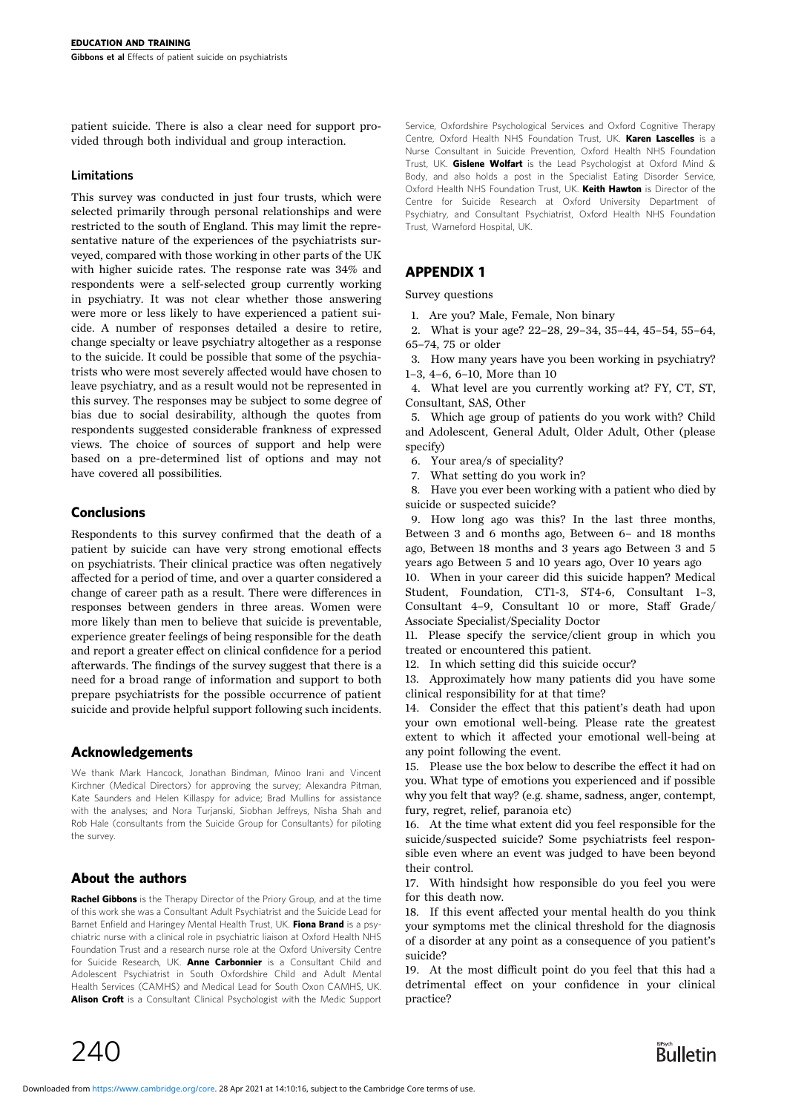patient suicide. There is also a clear need for support provided through both individual and group interaction.

## Limitations

This survey was conducted in just four trusts, which were selected primarily through personal relationships and were restricted to the south of England. This may limit the representative nature of the experiences of the psychiatrists surveyed, compared with those working in other parts of the UK with higher suicide rates. The response rate was 34% and respondents were a self-selected group currently working in psychiatry. It was not clear whether those answering were more or less likely to have experienced a patient suicide. A number of responses detailed a desire to retire, change specialty or leave psychiatry altogether as a response to the suicide. It could be possible that some of the psychiatrists who were most severely affected would have chosen to leave psychiatry, and as a result would not be represented in this survey. The responses may be subject to some degree of bias due to social desirability, although the quotes from respondents suggested considerable frankness of expressed views. The choice of sources of support and help were based on a pre-determined list of options and may not have covered all possibilities.

## **Conclusions**

Respondents to this survey confirmed that the death of a patient by suicide can have very strong emotional effects on psychiatrists. Their clinical practice was often negatively affected for a period of time, and over a quarter considered a change of career path as a result. There were differences in responses between genders in three areas. Women were more likely than men to believe that suicide is preventable, experience greater feelings of being responsible for the death and report a greater effect on clinical confidence for a period afterwards. The findings of the survey suggest that there is a need for a broad range of information and support to both prepare psychiatrists for the possible occurrence of patient suicide and provide helpful support following such incidents.

## Acknowledgements

We thank Mark Hancock, Jonathan Bindman, Minoo Irani and Vincent Kirchner (Medical Directors) for approving the survey; Alexandra Pitman, Kate Saunders and Helen Killaspy for advice; Brad Mullins for assistance with the analyses; and Nora Turjanski, Siobhan Jeffreys, Nisha Shah and Rob Hale (consultants from the Suicide Group for Consultants) for piloting the survey.

## About the authors

Rachel Gibbons is the Therapy Director of the Priory Group, and at the time of this work she was a Consultant Adult Psychiatrist and the Suicide Lead for Barnet Enfield and Haringey Mental Health Trust, UK. Fiona Brand is a psychiatric nurse with a clinical role in psychiatric liaison at Oxford Health NHS Foundation Trust and a research nurse role at the Oxford University Centre for Suicide Research, UK. Anne Carbonnier is a Consultant Child and Adolescent Psychiatrist in South Oxfordshire Child and Adult Mental Health Services (CAMHS) and Medical Lead for South Oxon CAMHS, UK. **Alison Croft** is a Consultant Clinical Psychologist with the Medic Support

Service, Oxfordshire Psychological Services and Oxford Cognitive Therapy Centre, Oxford Health NHS Foundation Trust, UK. Karen Lascelles is a Nurse Consultant in Suicide Prevention, Oxford Health NHS Foundation Trust, UK. Gislene Wolfart is the Lead Psychologist at Oxford Mind & Body, and also holds a post in the Specialist Eating Disorder Service, Oxford Health NHS Foundation Trust, UK. Keith Hawton is Director of the Centre for Suicide Research at Oxford University Department of Psychiatry, and Consultant Psychiatrist, Oxford Health NHS Foundation Trust, Warneford Hospital, UK.

## APPENDIX 1

Survey questions

1. Are you? Male, Female, Non binary

2. What is your age? 22–28, 29–34, 35–44, 45–54, 55–64, 65–74, 75 or older

3. How many years have you been working in psychiatry? 1–3, 4–6, 6–10, More than 10

4. What level are you currently working at? FY, CT, ST, Consultant, SAS, Other

5. Which age group of patients do you work with? Child and Adolescent, General Adult, Older Adult, Other (please specify)

- 6. Your area/s of speciality?
- 7. What setting do you work in?

8. Have you ever been working with a patient who died by suicide or suspected suicide?

9. How long ago was this? In the last three months, Between 3 and 6 months ago, Between 6– and 18 months ago, Between 18 months and 3 years ago Between 3 and 5 years ago Between 5 and 10 years ago, Over 10 years ago

10. When in your career did this suicide happen? Medical Student, Foundation, CT1-3, ST4-6, Consultant 1–3, Consultant 4–9, Consultant 10 or more, Staff Grade/ Associate Specialist/Speciality Doctor

11. Please specify the service/client group in which you treated or encountered this patient.

12. In which setting did this suicide occur?

13. Approximately how many patients did you have some clinical responsibility for at that time?

14. Consider the effect that this patient's death had upon your own emotional well-being. Please rate the greatest extent to which it affected your emotional well-being at any point following the event.

15. Please use the box below to describe the effect it had on you. What type of emotions you experienced and if possible why you felt that way? (e.g. shame, sadness, anger, contempt, fury, regret, relief, paranoia etc)

16. At the time what extent did you feel responsible for the suicide/suspected suicide? Some psychiatrists feel responsible even where an event was judged to have been beyond their control.

17. With hindsight how responsible do you feel you were for this death now.

18. If this event affected your mental health do you think your symptoms met the clinical threshold for the diagnosis of a disorder at any point as a consequence of you patient's suicide?

19. At the most difficult point do you feel that this had a detrimental effect on your confidence in your clinical practice?